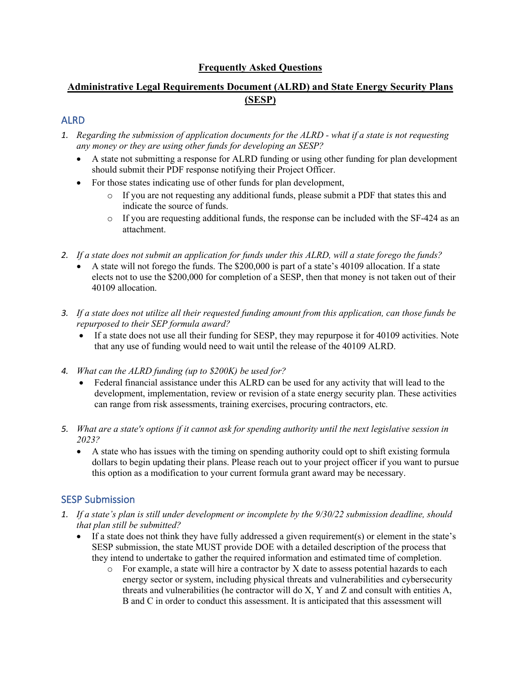## **Frequently Asked Questions**

## **Administrative Legal Requirements Document (ALRD) and State Energy Security Plans (SESP)**

#### ALRD

- *1. Regarding the submission of application documents for the ALRD what if a state is not requesting any money or they are using other funds for developing an SESP?*
	- A state not submitting a response for ALRD funding or using other funding for plan development should submit their PDF response notifying their Project Officer.
	- For those states indicating use of other funds for plan development,
		- o If you are not requesting any additional funds, please submit a PDF that states this and indicate the source of funds.
		- o If you are requesting additional funds, the response can be included with the SF-424 as an attachment.
- *2. If a state does not submit an application for funds under this ALRD, will a state forego the funds?*
	- A state will not forego the funds. The \$200,000 is part of a state's 40109 allocation. If a state elects not to use the \$200,000 for completion of a SESP, then that money is not taken out of their 40109 allocation.
- *3. If a state does not utilize all their requested funding amount from this application, can those funds be repurposed to their SEP formula award?* 
	- If a state does not use all their funding for SESP, they may repurpose it for 40109 activities. Note that any use of funding would need to wait until the release of the 40109 ALRD.
- *4. What can the ALRD funding (up to \$200K) be used for?*
	- Federal financial assistance under this ALRD can be used for any activity that will lead to the development, implementation, review or revision of a state energy security plan. These activities can range from risk assessments, training exercises, procuring contractors, etc*.*
- *5. What are a state's options if it cannot ask for spending authority until the next legislative session in 2023?*
	- A state who has issues with the timing on spending authority could opt to shift existing formula dollars to begin updating their plans. Please reach out to your project officer if you want to pursue this option as a modification to your current formula grant award may be necessary.

#### SESP Submission

- *1. If a state's plan is still under development or incomplete by the 9/30/22 submission deadline, should that plan still be submitted?*
	- If a state does not think they have fully addressed a given requirement(s) or element in the state's SESP submission, the state MUST provide DOE with a detailed description of the process that they intend to undertake to gather the required information and estimated time of completion.
		- $\circ$  For example, a state will hire a contractor by X date to assess potential hazards to each energy sector or system, including physical threats and vulnerabilities and cybersecurity threats and vulnerabilities (he contractor will do X, Y and Z and consult with entities A, B and C in order to conduct this assessment. It is anticipated that this assessment will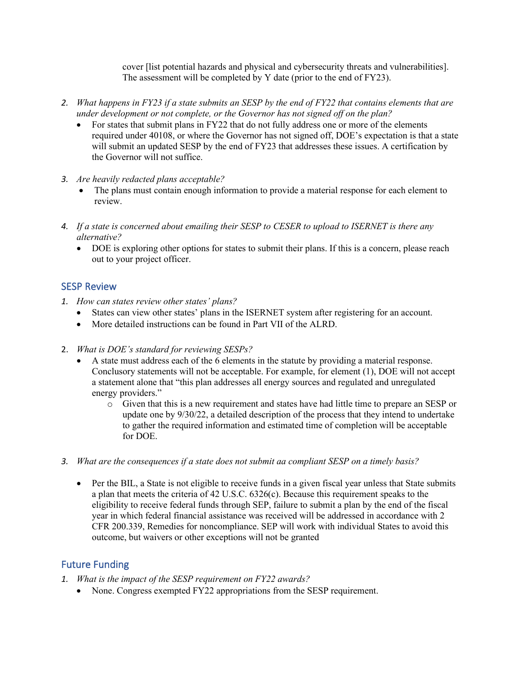cover [list potential hazards and physical and cybersecurity threats and vulnerabilities]. The assessment will be completed by Y date (prior to the end of FY23).

- *2. What happens in FY23 if a state submits an SESP by the end of FY22 that contains elements that are under development or not complete, or the Governor has not signed off on the plan?*
	- For states that submit plans in FY22 that do not fully address one or more of the elements required under 40108, or where the Governor has not signed off, DOE's expectation is that a state will submit an updated SESP by the end of FY23 that addresses these issues. A certification by the Governor will not suffice.
- *3. Are heavily redacted plans acceptable?*
	- The plans must contain enough information to provide a material response for each element to review.
- *4. If a state is concerned about emailing their SESP to CESER to upload to ISERNET is there any alternative?*
	- DOE is exploring other options for states to submit their plans. If this is a concern, please reach out to your project officer.

#### SESP Review

- *1. How can states review other states' plans?*
	- States can view other states' plans in the ISERNET system after registering for an account.
	- More detailed instructions can be found in Part VII of the ALRD.
- 2. *What is DOE's standard for reviewing SESPs?*
	- A state must address each of the 6 elements in the statute by providing a material response. Conclusory statements will not be acceptable. For example, for element (1), DOE will not accept a statement alone that "this plan addresses all energy sources and regulated and unregulated energy providers."
		- o Given that this is a new requirement and states have had little time to prepare an SESP or update one by 9/30/22, a detailed description of the process that they intend to undertake to gather the required information and estimated time of completion will be acceptable for DOE.
- *3. What are the consequences if a state does not submit aa compliant SESP on a timely basis?*
	- Per the BIL, a State is not eligible to receive funds in a given fiscal year unless that State submits a plan that meets the criteria of 42 U.S.C. 6326(c). Because this requirement speaks to the eligibility to receive federal funds through SEP, failure to submit a plan by the end of the fiscal year in which federal financial assistance was received will be addressed in accordance with 2 CFR 200.339, Remedies for noncompliance. SEP will work with individual States to avoid this outcome, but waivers or other exceptions will not be granted

# Future Funding

- *1. What is the impact of the SESP requirement on FY22 awards?*
	- None. Congress exempted FY22 appropriations from the SESP requirement.